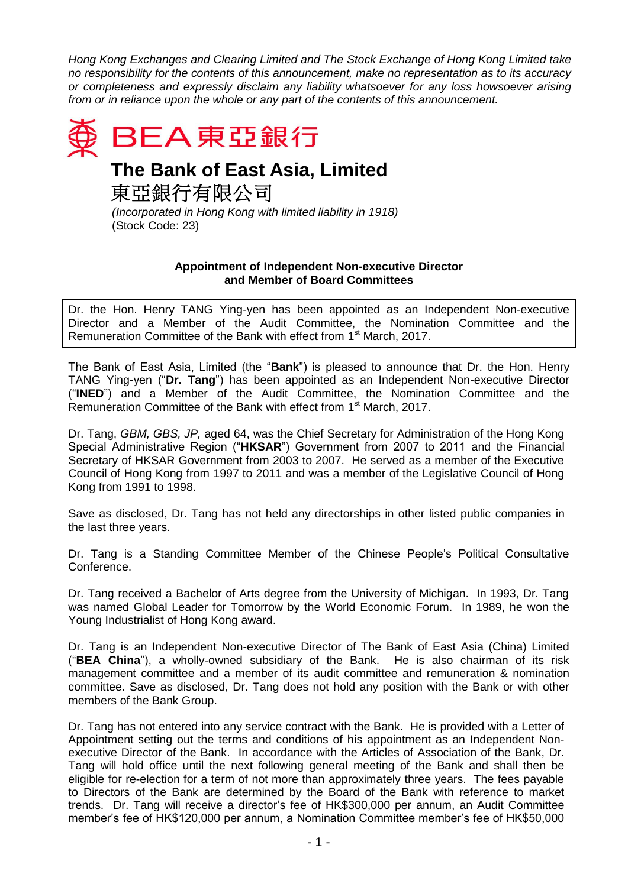*Hong Kong Exchanges and Clearing Limited and The Stock Exchange of Hong Kong Limited take no responsibility for the contents of this announcement, make no representation as to its accuracy or completeness and expressly disclaim any liability whatsoever for any loss howsoever arising from or in reliance upon the whole or any part of the contents of this announcement.*



## **The Bank of East Asia, Limited**

東亞銀行有限公司

*(Incorporated in Hong Kong with limited liability in 1918)* (Stock Code: 23)

## **Appointment of Independent Non-executive Director and Member of Board Committees**

Dr. the Hon. Henry TANG Ying-yen has been appointed as an Independent Non-executive Director and a Member of the Audit Committee, the Nomination Committee and the Remuneration Committee of the Bank with effect from 1<sup>st</sup> March, 2017.

The Bank of East Asia, Limited (the "**Bank**") is pleased to announce that Dr. the Hon. Henry TANG Ying-yen ("**Dr. Tang**") has been appointed as an Independent Non-executive Director ("**INED**") and a Member of the Audit Committee, the Nomination Committee and the Remuneration Committee of the Bank with effect from 1<sup>st</sup> March, 2017.

Dr. Tang, *GBM, GBS, JP,* aged 64, was the Chief Secretary for Administration of the Hong Kong Special Administrative Region ("**HKSAR**") Government from 2007 to 2011 and the Financial Secretary of HKSAR Government from 2003 to 2007. He served as a member of the Executive Council of Hong Kong from 1997 to 2011 and was a member of the Legislative Council of Hong Kong from 1991 to 1998.

Save as disclosed, Dr. Tang has not held any directorships in other listed public companies in the last three years.

Dr. Tang is a Standing Committee Member of the Chinese People's Political Consultative Conference.

Dr. Tang received a Bachelor of Arts degree from the University of Michigan. In 1993, Dr. Tang was named Global Leader for Tomorrow by the World Economic Forum. In 1989, he won the Young Industrialist of Hong Kong award.

Dr. Tang is an Independent Non-executive Director of The Bank of East Asia (China) Limited ("**BEA China**"), a wholly-owned subsidiary of the Bank. He is also chairman of its risk management committee and a member of its audit committee and remuneration & nomination committee. Save as disclosed, Dr. Tang does not hold any position with the Bank or with other members of the Bank Group.

Dr. Tang has not entered into any service contract with the Bank. He is provided with a Letter of Appointment setting out the terms and conditions of his appointment as an Independent Nonexecutive Director of the Bank. In accordance with the Articles of Association of the Bank, Dr. Tang will hold office until the next following general meeting of the Bank and shall then be eligible for re-election for a term of not more than approximately three years. The fees payable to Directors of the Bank are determined by the Board of the Bank with reference to market trends. Dr. Tang will receive a director's fee of HK\$300,000 per annum, an Audit Committee member's fee of HK\$120,000 per annum, a Nomination Committee member's fee of HK\$50,000